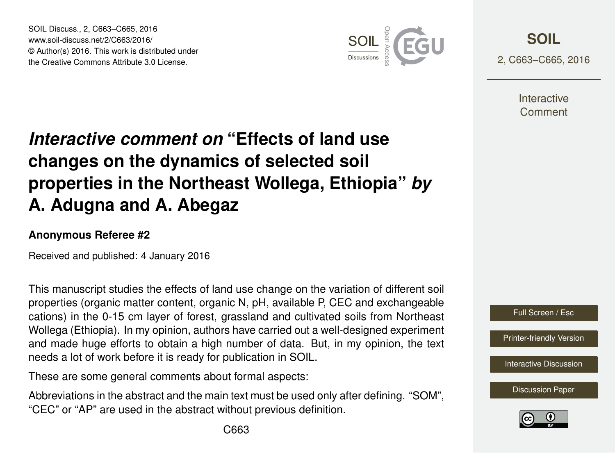SOIL Discuss., 2, C663–C665, 2016 www.soil-discuss.net/2/C663/2016/ © Author(s) 2016. This work is distributed under the Creative Commons Attribute 3.0 License.



**[SOIL](http://www.soil-discuss.net)**

2, C663–C665, 2016

**Interactive** Comment

## *Interactive comment on* **"Effects of land use changes on the dynamics of selected soil properties in the Northeast Wollega, Ethiopia"** *by* **A. Adugna and A. Abegaz**

## **Anonymous Referee #2**

Received and published: 4 January 2016

This manuscript studies the effects of land use change on the variation of different soil properties (organic matter content, organic N, pH, available P, CEC and exchangeable cations) in the 0-15 cm layer of forest, grassland and cultivated soils from Northeast Wollega (Ethiopia). In my opinion, authors have carried out a well-designed experiment and made huge efforts to obtain a high number of data. But, in my opinion, the text needs a lot of work before it is ready for publication in SOIL.

These are some general comments about formal aspects:

Abbreviations in the abstract and the main text must be used only after defining. "SOM", "CEC" or "AP" are used in the abstract without previous definition.



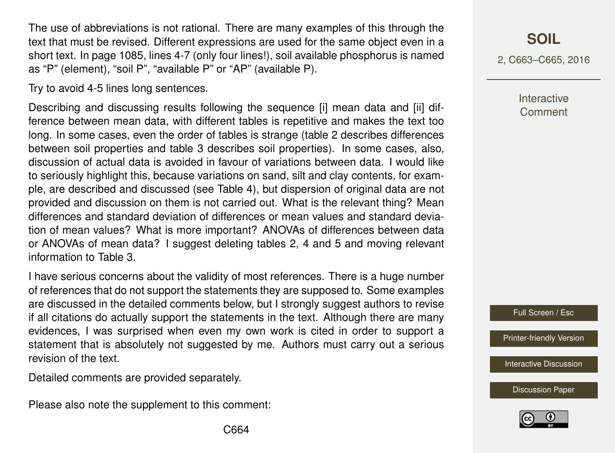The use of abbreviations is not rational. There are many examples of this through the text that must be revised. Different expressions are used for the same object even in a short text. In page 1085, lines 4-7 (only four lines!), soil available phosphorus is named as "P" (element), "soil P", "available P" or "AP" (available P).

Try to avoid 4-5 lines long sentences.

Describing and discussing results following the sequence [i] mean data and [ii] difference between mean data, with different tables is repetitive and makes the text too long. In some cases, even the order of tables is strange (table 2 describes differences between soil properties and table 3 describes soil properties). In some cases, also, discussion of actual data is avoided in favour of variations between data. I would like to seriously highlight this, because variations on sand, silt and clay contents, for example, are described and discussed (see Table 4), but dispersion of original data are not provided and discussion on them is not carried out. What is the relevant thing? Mean differences and standard deviation of differences or mean values and standard deviation of mean values? What is more important? ANOVAs of differences between data or ANOVAs of mean data? I suggest deleting tables 2, 4 and 5 and moving relevant information to Table 3.

I have serious concerns about the validity of most references. There is a huge number of references that do not support the statements they are supposed to. Some examples are discussed in the detailed comments below, but I strongly suggest authors to revise if all citations do actually support the statements in the text. Although there are many evidences, I was surprised when even my own work is cited in order to support a statement that is absolutely not suggested by me. Authors must carry out a serious revision of the text.

Detailed comments are provided separately.

Please also note the supplement to this comment:

2, C663–C665, 2016

**Interactive Comment** 

Full Screen / Esc

[Printer-friendly Version](http://www.soil-discuss.net/2/C663/2016/soild-2-C663-2016-print.pdf)

**[Interactive Discussion](http://www.soil-discuss.net/2/1075/2015/soild-2-1075-2015-discussion.html)** 

[Discussion Paper](http://www.soil-discuss.net/2/1075/2015/soild-2-1075-2015.pdf)